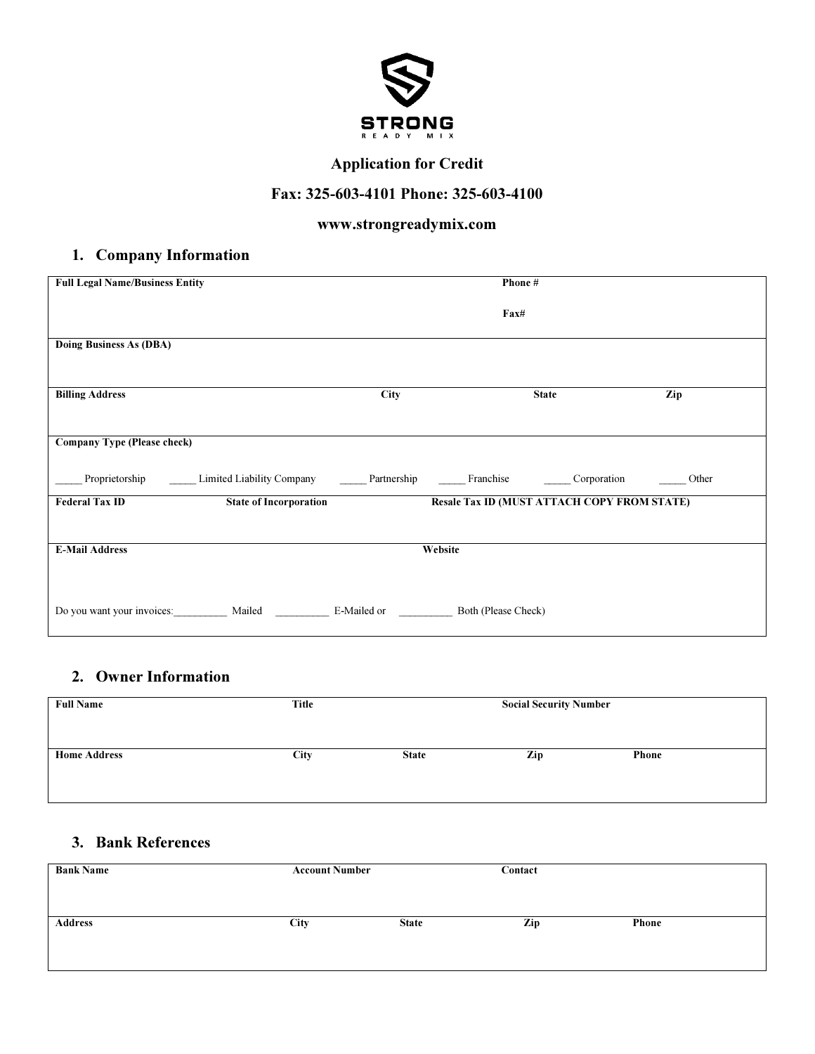

## Application for Credit

## Fax: 325-603-4101 Phone: 325-603-4100

## www.strongreadymix.com

### 1. Company Information

| <b>Full Legal Name/Business Entity</b> |                                                                                                                              |             | Phone#                                             |     |
|----------------------------------------|------------------------------------------------------------------------------------------------------------------------------|-------------|----------------------------------------------------|-----|
|                                        |                                                                                                                              |             | Fax#                                               |     |
| Doing Business As (DBA)                |                                                                                                                              |             |                                                    |     |
| <b>Billing Address</b>                 |                                                                                                                              | <b>City</b> | <b>State</b>                                       | Zip |
| <b>Company Type (Please check)</b>     |                                                                                                                              |             |                                                    |     |
|                                        | Proprietorship _______Limited Liability Company _________Partnership _________Franchise ___________Corporation ________Other |             |                                                    |     |
| <b>Federal Tax ID</b>                  | <b>State of Incorporation</b>                                                                                                |             | <b>Resale Tax ID (MUST ATTACH COPY FROM STATE)</b> |     |
|                                        |                                                                                                                              |             |                                                    |     |
| <b>E-Mail Address</b>                  |                                                                                                                              |             | Website                                            |     |
|                                        | Do you want your invoices: Mailed E-Mailed or Both (Please Check)                                                            |             |                                                    |     |

# 2. Owner Information

| <b>Full Name</b>    | Title | <b>Social Security Number</b> |     |              |
|---------------------|-------|-------------------------------|-----|--------------|
| <b>Home Address</b> | City  | <b>State</b>                  | Zip | <b>Phone</b> |
|                     |       |                               |     |              |

## 3. Bank References

| <b>Bank Name</b> | <b>Account Number</b> |              | Contact |              |
|------------------|-----------------------|--------------|---------|--------------|
|                  |                       |              |         |              |
|                  |                       |              |         |              |
|                  |                       |              |         |              |
| <b>Address</b>   | City                  | <b>State</b> | Zip     | <b>Phone</b> |
|                  |                       |              |         |              |
|                  |                       |              |         |              |
|                  |                       |              |         |              |